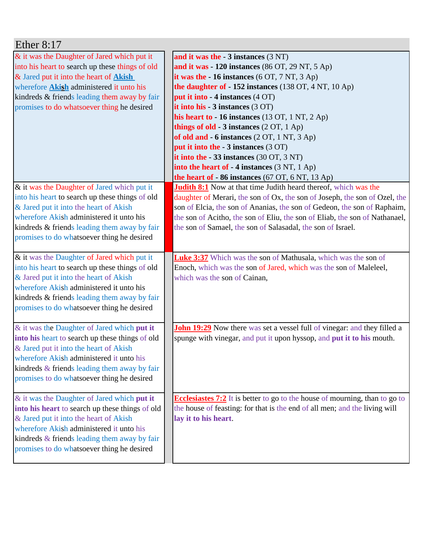| Ether $8:17$                                                                                                                                                                                                                                                                              |                                                                                                                                                                                                                                                                                                                                                                                                                                                                                                                                                                                                                                                          |
|-------------------------------------------------------------------------------------------------------------------------------------------------------------------------------------------------------------------------------------------------------------------------------------------|----------------------------------------------------------------------------------------------------------------------------------------------------------------------------------------------------------------------------------------------------------------------------------------------------------------------------------------------------------------------------------------------------------------------------------------------------------------------------------------------------------------------------------------------------------------------------------------------------------------------------------------------------------|
| & it was the Daughter of Jared which put it<br>into his heart to search up these things of old<br>& Jared put it into the heart of Akish<br>wherefore <b>Akish</b> administered it unto his<br>kindreds & friends leading them away by fair<br>promises to do whatsoever thing he desired | and it was the $-3$ instances $(3 \text{ NT})$<br>and it was $-120$ instances (86 OT, 29 NT, 5 Ap)<br>it was the $-16$ instances $(6 OT, 7 NT, 3 Ap)$<br>the daughter of $-152$ instances (138 OT, 4 NT, 10 Ap)<br>put it into - 4 instances (4 OT)<br>it into his $-3$ instances $(3 \text{ OT})$<br>his heart to - 16 instances (13 OT, 1 NT, 2 Ap)<br>things of old - $3$ instances $(2 OT, 1 Ap)$<br>of old and $-6$ instances $(2 OT, 1 NT, 3 Ap)$<br><b>put it into the - 3 instances (3 OT)</b><br>it into the $-33$ instances (30 OT, 3 NT)<br>into the heart of - 4 instances (3 NT, 1 Ap)<br>the heart of $-86$ instances (67 OT, 6 NT, 13 Ap) |
| & it was the Daughter of Jared which put it<br>into his heart to search up these things of old<br>& Jared put it into the heart of Akish<br>wherefore Akish administered it unto his<br>kindreds & friends leading them away by fair<br>promises to do whatsoever thing he desired        | <b>Judith 8:1</b> Now at that time Judith heard thereof, which was the<br>daughter of Merari, the son of Ox, the son of Joseph, the son of Ozel, the<br>son of Elcia, the son of Ananias, the son of Gedeon, the son of Raphaim,<br>the son of Acitho, the son of Eliu, the son of Eliab, the son of Nathanael,<br>the son of Samael, the son of Salasadal, the son of Israel.                                                                                                                                                                                                                                                                           |
| & it was the Daughter of Jared which put it<br>into his heart to search up these things of old<br>& Jared put it into the heart of Akish<br>wherefore Akish administered it unto his<br>kindreds & friends leading them away by fair<br>promises to do whatsoever thing he desired        | <b>Luke 3:37</b> Which was the son of Mathusala, which was the son of<br>Enoch, which was the son of Jared, which was the son of Maleleel,<br>which was the son of Cainan,                                                                                                                                                                                                                                                                                                                                                                                                                                                                               |
| & it was the Daughter of Jared which put it<br>into his heart to search up these things of old<br>& Jared put it into the heart of Akish<br>wherefore Akish administered it unto his<br>kindreds & friends leading them away by fair<br>promises to do whatsoever thing he desired        | <b>John 19:29</b> Now there was set a vessel full of vinegar: and they filled a<br>spunge with vinegar, and put it upon hyssop, and put it to his mouth.                                                                                                                                                                                                                                                                                                                                                                                                                                                                                                 |
| & it was the Daughter of Jared which put it<br>into his heart to search up these things of old<br>& Jared put it into the heart of Akish<br>wherefore Akish administered it unto his<br>kindreds & friends leading them away by fair<br>promises to do whatsoever thing he desired        | <b>Ecclesiastes 7:2</b> It is better to go to the house of mourning, than to go to<br>the house of feasting: for that is the end of all men; and the living will<br>lay it to his heart.                                                                                                                                                                                                                                                                                                                                                                                                                                                                 |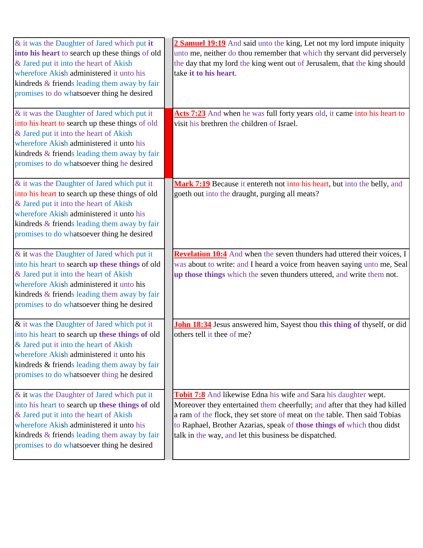| & it was the Daughter of Jared which put it<br>into his heart to search up these things of old<br>& Jared put it into the heart of Akish<br>wherefore Akish administered it unto his<br>kindreds & friends leading them away by fair<br>promises to do whatsoever thing he desired<br>& it was the Daughter of Jared which put it<br>into his heart to search up these things of old | 2 Samuel 19:19 And said unto the king, Let not my lord impute iniquity<br>unto me, neither do thou remember that which thy servant did perversely<br>the day that my lord the king went out of Jerusalem, that the king should<br>take it to his heart.<br>Acts 7:23 And when he was full forty years old, it came into his heart to<br>visit his brethren the children of Israel. |
|--------------------------------------------------------------------------------------------------------------------------------------------------------------------------------------------------------------------------------------------------------------------------------------------------------------------------------------------------------------------------------------|------------------------------------------------------------------------------------------------------------------------------------------------------------------------------------------------------------------------------------------------------------------------------------------------------------------------------------------------------------------------------------|
| & Jared put it into the heart of Akish<br>wherefore Akish administered it unto his<br>kindreds & friends leading them away by fair<br>promises to do whatsoever thing he desired                                                                                                                                                                                                     |                                                                                                                                                                                                                                                                                                                                                                                    |
| & it was the Daughter of Jared which put it<br>into his heart to search up these things of old<br>& Jared put it into the heart of Akish<br>wherefore Akish administered it unto his<br>kindreds & friends leading them away by fair<br>promises to do whatsoever thing he desired                                                                                                   | Mark 7:19 Because it entereth not into his heart, but into the belly, and<br>goeth out into the draught, purging all meats?                                                                                                                                                                                                                                                        |
| & it was the Daughter of Jared which put it<br>into his heart to search up these things of old<br>& Jared put it into the heart of Akish<br>wherefore Akish administered it unto his<br>kindreds & friends leading them away by fair<br>promises to do whatsoever thing he desired                                                                                                   | Revelation 10:4 And when the seven thunders had uttered their voices, I<br>was about to write: and I heard a voice from heaven saying unto me, Seal<br>up those things which the seven thunders uttered, and write them not.                                                                                                                                                       |
| & it was the Daughter of Jared which put it<br>into his heart to search up these things of old<br>& Jared put it into the heart of Akish<br>wherefore Akish administered it unto his<br>kindreds & friends leading them away by fair<br>promises to do whatsoever thing he desired                                                                                                   | <b>John 18:34</b> Jesus answered him, Sayest thou this thing of thyself, or did<br>others tell it thee of me?                                                                                                                                                                                                                                                                      |
| & it was the Daughter of Jared which put it<br>into his heart to search up these things of old<br>& Jared put it into the heart of Akish<br>wherefore Akish administered it unto his<br>kindreds & friends leading them away by fair<br>promises to do whatsoever thing he desired                                                                                                   | Tobit 7:8 And likewise Edna his wife and Sara his daughter wept.<br>Moreover they entertained them cheerfully; and after that they had killed<br>a ram of the flock, they set store of meat on the table. Then said Tobias<br>to Raphael, Brother Azarias, speak of those things of which thou didst<br>talk in the way, and let this business be dispatched.                      |